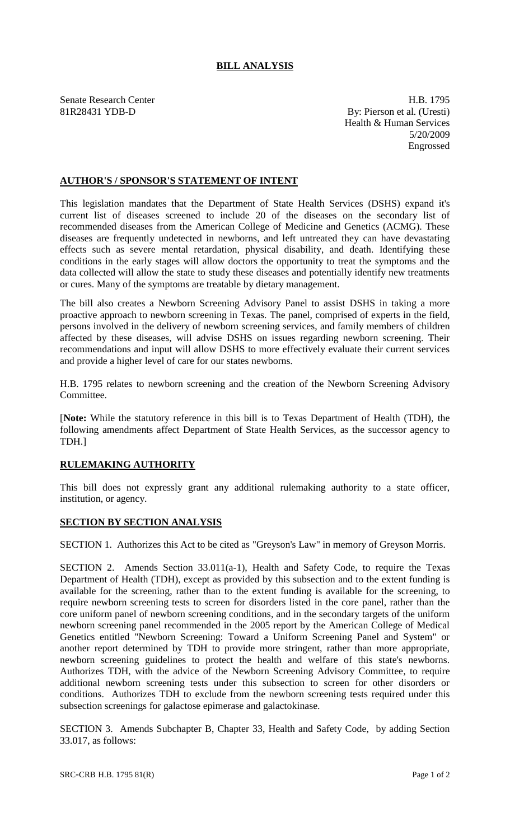## **BILL ANALYSIS**

Senate Research Center **H.B. 1795** 81R28431 YDB-D By: Pierson et al. (Uresti) Health & Human Services 5/20/2009 Engrossed

## **AUTHOR'S / SPONSOR'S STATEMENT OF INTENT**

This legislation mandates that the Department of State Health Services (DSHS) expand it's current list of diseases screened to include 20 of the diseases on the secondary list of recommended diseases from the American College of Medicine and Genetics (ACMG). These diseases are frequently undetected in newborns, and left untreated they can have devastating effects such as severe mental retardation, physical disability, and death. Identifying these conditions in the early stages will allow doctors the opportunity to treat the symptoms and the data collected will allow the state to study these diseases and potentially identify new treatments or cures. Many of the symptoms are treatable by dietary management.

The bill also creates a Newborn Screening Advisory Panel to assist DSHS in taking a more proactive approach to newborn screening in Texas. The panel, comprised of experts in the field, persons involved in the delivery of newborn screening services, and family members of children affected by these diseases, will advise DSHS on issues regarding newborn screening. Their recommendations and input will allow DSHS to more effectively evaluate their current services and provide a higher level of care for our states newborns.

H.B. 1795 relates to newborn screening and the creation of the Newborn Screening Advisory Committee.

[**Note:** While the statutory reference in this bill is to Texas Department of Health (TDH), the following amendments affect Department of State Health Services, as the successor agency to TDH.]

## **RULEMAKING AUTHORITY**

This bill does not expressly grant any additional rulemaking authority to a state officer, institution, or agency.

## **SECTION BY SECTION ANALYSIS**

SECTION 1. Authorizes this Act to be cited as "Greyson's Law" in memory of Greyson Morris.

SECTION 2. Amends Section 33.011(a-1), Health and Safety Code, to require the Texas Department of Health (TDH), except as provided by this subsection and to the extent funding is available for the screening, rather than to the extent funding is available for the screening, to require newborn screening tests to screen for disorders listed in the core panel, rather than the core uniform panel of newborn screening conditions, and in the secondary targets of the uniform newborn screening panel recommended in the 2005 report by the American College of Medical Genetics entitled "Newborn Screening: Toward a Uniform Screening Panel and System" or another report determined by TDH to provide more stringent, rather than more appropriate, newborn screening guidelines to protect the health and welfare of this state's newborns. Authorizes TDH, with the advice of the Newborn Screening Advisory Committee, to require additional newborn screening tests under this subsection to screen for other disorders or conditions. Authorizes TDH to exclude from the newborn screening tests required under this subsection screenings for galactose epimerase and galactokinase.

SECTION 3. Amends Subchapter B, Chapter 33, Health and Safety Code, by adding Section 33.017, as follows: